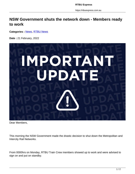https://rtbuexpress.com.au

## **NSW Government shuts the network down - Members ready to work**

**Categories :** [News](https://rtbuexpress.com.au/category/news/), RTBU News

**Date :** 21 February, 2022



Dear Members,

This morning the NSW Government made the drastic decision to shut down the Metropolitan and Intercity Rail Networks.

From 0000hrs on Monday, RTBU Train Crew members showed up to work and were advised to sign on and put on standby.